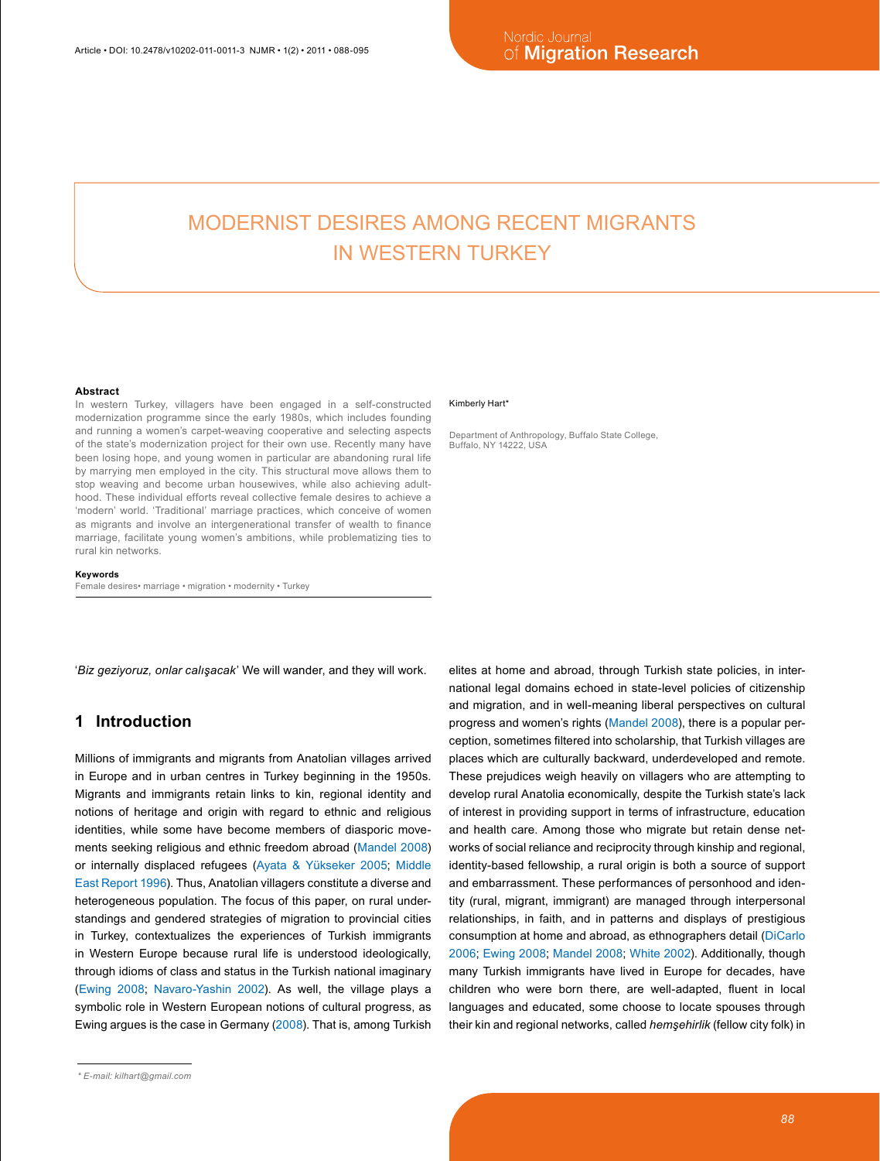# Modernist Desires among Recent Migrants in Western Turkey

#### **Abstract**

In western Turkey, villagers have been engaged in a self-constructed modernization programme since the early 1980s, which includes founding and running a women's carpet-weaving cooperative and selecting aspects of the state's modernization project for their own use. Recently many have been losing hope, and young women in particular are abandoning rural life by marrying men employed in the city. This structural move allows them to stop weaving and become urban housewives, while also achieving adulthood. These individual efforts reveal collective female desires to achieve a 'modern' world. 'Traditional' marriage practices, which conceive of women as migrants and involve an intergenerational transfer of wealth to finance marriage, facilitate young women's ambitions, while problematizing ties to rural kin networks.

#### **Keywords**

Female desires• marriage • migration • modernity • Turkey

'*Biz geziyoruz, onlar calışacak*' We will wander, and they will work.

### **1 Introduction**

Millions of immigrants and migrants from Anatolian villages arrived in Europe and in urban centres in Turkey beginning in the 1950s. Migrants and immigrants retain links to kin, regional identity and notions of heritage and origin with regard to ethnic and religious identities, while some have become members of diasporic movements seeking religious and ethnic freedom abroad ([Mandel 2008](#page-7-0)) or internally displaced refugees ([Ayata & Yükseker 2005](#page-6-0); [Middle](#page-7-1)  [East Report 1996\)](#page-7-1). Thus, Anatolian villagers constitute a diverse and heterogeneous population. The focus of this paper, on rural understandings and gendered strategies of migration to provincial cities in Turkey, contextualizes the experiences of Turkish immigrants in Western Europe because rural life is understood ideologically, through idioms of class and status in the Turkish national imaginary [\(Ewing 2008](#page-7-2); [Navaro-Yashin 2002\)](#page-7-3). As well, the village plays a symbolic role in Western European notions of cultural progress, as Ewing argues is the case in Germany ([2008\)](#page-7-2). That is, among Turkish

#### *\* E-mail: [kilhart@gmail.com](mailto:kilhart@gmail.com)*

#### Kimberly Hart\*

Department of Anthropology, Buffalo State College, Buffalo, NY 14222, USA

elites at home and abroad, through Turkish state policies, in international legal domains echoed in state-level policies of citizenship and migration, and in well-meaning liberal perspectives on cultural progress and women's rights [\(Mandel 2008](#page-7-0)), there is a popular perception, sometimes filtered into scholarship, that Turkish villages are places which are culturally backward, underdeveloped and remote. These prejudices weigh heavily on villagers who are attempting to develop rural Anatolia economically, despite the Turkish state's lack of interest in providing support in terms of infrastructure, education and health care. Among those who migrate but retain dense networks of social reliance and reciprocity through kinship and regional, identity-based fellowship, a rural origin is both a source of support and embarrassment. These performances of personhood and identity (rural, migrant, immigrant) are managed through interpersonal relationships, in faith, and in patterns and displays of prestigious consumption at home and abroad, as ethnographers detail ([DiCarlo](#page-6-1) [2006](#page-6-1); [Ewing 2008](#page-7-2); [Mandel 2008](#page-7-0); [White 2002](#page-7-4)). Additionally, though many Turkish immigrants have lived in Europe for decades, have children who were born there, are well-adapted, fluent in local languages and educated, some choose to locate spouses through their kin and regional networks, called *hemşehirlik* (fellow city folk) in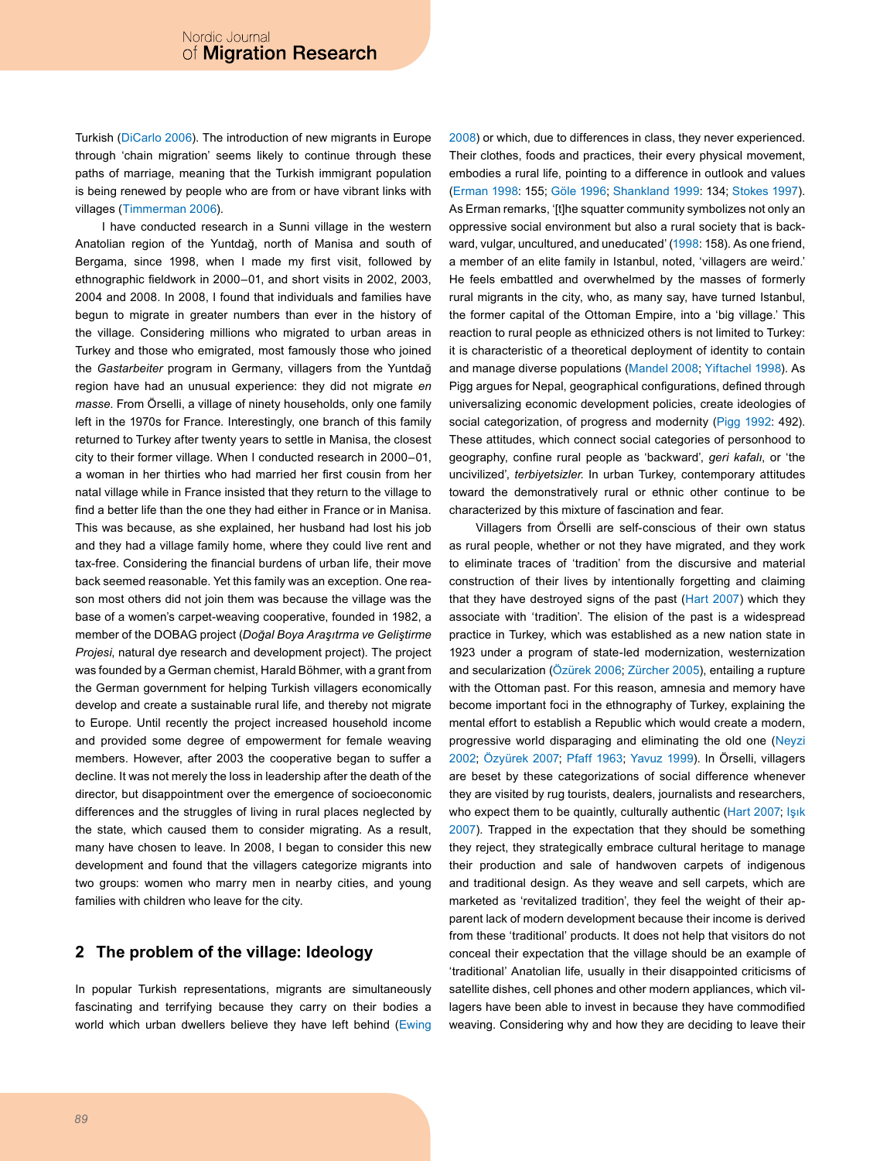Turkish [\(DiCarlo 2006\)](#page-6-1). The introduction of new migrants in Europe through 'chain migration' seems likely to continue through these paths of marriage, meaning that the Turkish immigrant population is being renewed by people who are from or have vibrant links with villages ([Timmerman 2006\)](#page-7-5).

I have conducted research in a Sunni village in the western Anatolian region of the Yuntdağ, north of Manisa and south of Bergama, since 1998, when I made my first visit, followed by ethnographic fieldwork in 2000–01, and short visits in 2002, 2003, 2004 and 2008. In 2008, I found that individuals and families have begun to migrate in greater numbers than ever in the history of the village. Considering millions who migrated to urban areas in Turkey and those who emigrated, most famously those who joined the *Gastarbeiter* program in Germany, villagers from the Yuntdağ region have had an unusual experience: they did not migrate *en masse*. From Örselli, a village of ninety households, only one family left in the 1970s for France. Interestingly, one branch of this family returned to Turkey after twenty years to settle in Manisa, the closest city to their former village. When I conducted research in 2000–01, a woman in her thirties who had married her first cousin from her natal village while in France insisted that they return to the village to find a better life than the one they had either in France or in Manisa. This was because, as she explained, her husband had lost his job and they had a village family home, where they could live rent and tax-free. Considering the financial burdens of urban life, their move back seemed reasonable. Yet this family was an exception. One reason most others did not join them was because the village was the base of a women's carpet-weaving cooperative, founded in 1982, a member of the DOBAG project (*Doğal Boya Araşıtrma ve Geliştirme Projesi*, natural dye research and development project). The project was founded by a German chemist, Harald Böhmer, with a grant from the German government for helping Turkish villagers economically develop and create a sustainable rural life, and thereby not migrate to Europe. Until recently the project increased household income and provided some degree of empowerment for female weaving members. However, after 2003 the cooperative began to suffer a decline. It was not merely the loss in leadership after the death of the director, but disappointment over the emergence of socioeconomic differences and the struggles of living in rural places neglected by the state, which caused them to consider migrating. As a result, many have chosen to leave. In 2008, I began to consider this new development and found that the villagers categorize migrants into two groups: women who marry men in nearby cities, and young families with children who leave for the city.

#### **2 The problem of the village: Ideology**

In popular Turkish representations, migrants are simultaneously fascinating and terrifying because they carry on their bodies a world which urban dwellers believe they have left behind ([Ewing](#page-7-2) [2008](#page-7-2)) or which, due to differences in class, they never experienced. Their clothes, foods and practices, their every physical movement, embodies a rural life, pointing to a difference in outlook and values ([Erman 1998:](#page-6-2) 155; Göle 1996; [Shankland 1999](#page-7-6): 134; [Stokes 1997](#page-7-7)). As Erman remarks, '[t]he squatter community symbolizes not only an oppressive social environment but also a rural society that is backward, vulgar, uncultured, and uneducated' [\(1998](#page-6-2): 158). As one friend, a member of an elite family in Istanbul, noted, 'villagers are weird.' He feels embattled and overwhelmed by the masses of formerly rural migrants in the city, who, as many say, have turned Istanbul, the former capital of the Ottoman Empire, into a 'big village.' This reaction to rural people as ethnicized others is not limited to Turkey: it is characteristic of a theoretical deployment of identity to contain and manage diverse populations ([Mandel 2008](#page-7-0); [Yiftachel 1998\)](#page-7-8). As Pigg argues for Nepal, geographical configurations, defined through universalizing economic development policies, create ideologies of social categorization, of progress and modernity [\(Pigg 1992:](#page-7-9) 492). These attitudes, which connect social categories of personhood to geography, confine rural people as 'backward', *geri kafalı*, or 'the uncivilized', *terbiyetsizler*. In urban Turkey, contemporary attitudes toward the demonstratively rural or ethnic other continue to be characterized by this mixture of fascination and fear.

Villagers from Örselli are self-conscious of their own status as rural people, whether or not they have migrated, and they work to eliminate traces of 'tradition' from the discursive and material construction of their lives by intentionally forgetting and claiming that they have destroyed signs of the past ([Hart 2007\)](#page-7-10) which they associate with 'tradition'. The elision of the past is a widespread practice in Turkey, which was established as a new nation state in 1923 under a program of state-led modernization, westernization and secularization [\(Özürek 2006](#page-7-11); [Zürcher 2005](#page-7-12)), entailing a rupture with the Ottoman past. For this reason, amnesia and memory have become important foci in the ethnography of Turkey, explaining the mental effort to establish a Republic which would create a modern, progressive world disparaging and eliminating the old one ([Neyzi](#page-7-13) [2002](#page-7-13); [Özyürek 2007](#page-7-14); [Pfaff 1963](#page-7-15); [Yavuz 1999](#page-7-16)). In Örselli, villagers are beset by these categorizations of social difference whenever they are visited by rug tourists, dealers, journalists and researchers, who expect them to be quaintly, culturally authentic [\(Hart 2007](#page-7-10); Işık 2007). Trapped in the expectation that they should be something they reject, they strategically embrace cultural heritage to manage their production and sale of handwoven carpets of indigenous and traditional design. As they weave and sell carpets, which are marketed as 'revitalized tradition', they feel the weight of their apparent lack of modern development because their income is derived from these 'traditional' products. It does not help that visitors do not conceal their expectation that the village should be an example of 'traditional' Anatolian life, usually in their disappointed criticisms of satellite dishes, cell phones and other modern appliances, which villagers have been able to invest in because they have commodified weaving. Considering why and how they are deciding to leave their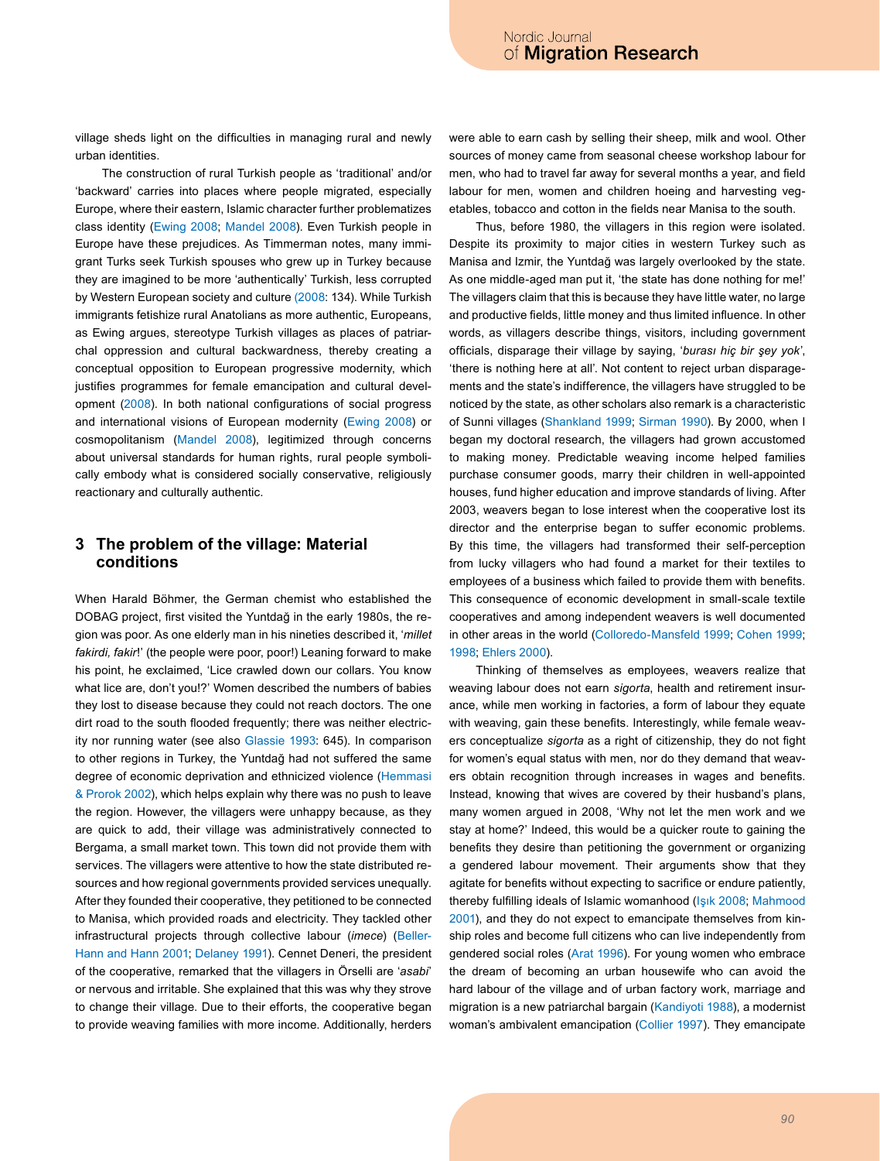village sheds light on the difficulties in managing rural and newly urban identities.

The construction of rural Turkish people as 'traditional' and/or 'backward' carries into places where people migrated, especially Europe, where their eastern, Islamic character further problematizes class identity [\(Ewing 2008](#page-7-2); [Mandel 2008](#page-7-0)). Even Turkish people in Europe have these prejudices. As Timmerman notes, many immigrant Turks seek Turkish spouses who grew up in Turkey because they are imagined to be more 'authentically' Turkish, less corrupted by Western European society and culture [\(2008:](#page-7-5) 134). While Turkish immigrants fetishize rural Anatolians as more authentic, Europeans, as Ewing argues, stereotype Turkish villages as places of patriarchal oppression and cultural backwardness, thereby creating a conceptual opposition to European progressive modernity, which justifies programmes for female emancipation and cultural development [\(2008\)](#page-7-2). In both national configurations of social progress and international visions of European modernity [\(Ewing 2008\)](#page-7-2) or cosmopolitanism [\(Mandel 2008\)](#page-7-0), legitimized through concerns about universal standards for human rights, rural people symbolically embody what is considered socially conservative, religiously reactionary and culturally authentic.

#### **3 The problem of the village: Material conditions**

When Harald Böhmer, the German chemist who established the DOBAG project, first visited the Yuntdağ in the early 1980s, the region was poor. As one elderly man in his nineties described it, '*millet fakirdi, fakir*!' (the people were poor, poor!) Leaning forward to make his point, he exclaimed, 'Lice crawled down our collars. You know what lice are, don't you!?' Women described the numbers of babies they lost to disease because they could not reach doctors. The one dirt road to the south flooded frequently; there was neither electricity nor running water (see also [Glassie 1993:](#page-7-17) 645). In comparison to other regions in Turkey, the Yuntdağ had not suffered the same degree of economic deprivation and ethnicized violence ([Hemmasi](#page-7-18) [& Prorok 2002](#page-7-18)), which helps explain why there was no push to leave the region. However, the villagers were unhappy because, as they are quick to add, their village was administratively connected to Bergama, a small market town. This town did not provide them with services. The villagers were attentive to how the state distributed resources and how regional governments provided services unequally. After they founded their cooperative, they petitioned to be connected to Manisa, which provided roads and electricity. They tackled other infrastructural projects through collective labour (*imece*) ([Beller-](#page-6-3)[Hann and Hann 2001](#page-6-3); [Delaney 1991](#page-6-4)). Cennet Deneri, the president of the cooperative, remarked that the villagers in Örselli are '*asabi*' or nervous and irritable. She explained that this was why they strove to change their village. Due to their efforts, the cooperative began to provide weaving families with more income. Additionally, herders

were able to earn cash by selling their sheep, milk and wool. Other sources of money came from seasonal cheese workshop labour for men, who had to travel far away for several months a year, and field labour for men, women and children hoeing and harvesting vegetables, tobacco and cotton in the fields near Manisa to the south.

Thus, before 1980, the villagers in this region were isolated. Despite its proximity to major cities in western Turkey such as Manisa and Izmir, the Yuntdağ was largely overlooked by the state. As one middle-aged man put it, 'the state has done nothing for me!' The villagers claim that this is because they have little water, no large and productive fields, little money and thus limited influence. In other words, as villagers describe things, visitors, including government officials, disparage their village by saying, '*burası hiç bir şey yok*', 'there is nothing here at all'. Not content to reject urban disparagements and the state's indifference, the villagers have struggled to be noticed by the state, as other scholars also remark is a characteristic of Sunni villages ([Shankland 1999](#page-7-6); [Sirman 1990\)](#page-7-19). By 2000, when I began my doctoral research, the villagers had grown accustomed to making money. Predictable weaving income helped families purchase consumer goods, marry their children in well-appointed houses, fund higher education and improve standards of living. After 2003, weavers began to lose interest when the cooperative lost its director and the enterprise began to suffer economic problems. By this time, the villagers had transformed their self-perception from lucky villagers who had found a market for their textiles to employees of a business which failed to provide them with benefits. This consequence of economic development in small-scale textile cooperatives and among independent weavers is well documented in other areas in the world [\(Colloredo-Mansfeld 1999](#page-6-5); [Cohen 1999](#page-6-6); [1998](#page-6-7); [Ehlers](#page-6-8) 2000).

Thinking of themselves as employees, weavers realize that weaving labour does not earn *sigorta*, health and retirement insurance, while men working in factories, a form of labour they equate with weaving, gain these benefits. Interestingly, while female weavers conceptualize *sigorta* as a right of citizenship, they do not fight for women's equal status with men, nor do they demand that weavers obtain recognition through increases in wages and benefits. Instead, knowing that wives are covered by their husband's plans, many women argued in 2008, 'Why not let the men work and we stay at home?' Indeed, this would be a quicker route to gaining the benefits they desire than petitioning the government or organizing a gendered labour movement. Their arguments show that they agitate for benefits without expecting to sacrifice or endure patiently, thereby fulfilling ideals of Islamic womanhood (Işık 2008; [Mahmood](#page-7-20) [2001\)](#page-7-20), and they do not expect to emancipate themselves from kinship roles and become full citizens who can live independently from gendered social roles ([Arat 1996\)](#page-6-9). For young women who embrace the dream of becoming an urban housewife who can avoid the hard labour of the village and of urban factory work, marriage and migration is a new patriarchal bargain [\(Kandiyoti 1988](#page-7-21)), a modernist woman's ambivalent emancipation ([Collier 1997\)](#page-6-10). They emancipate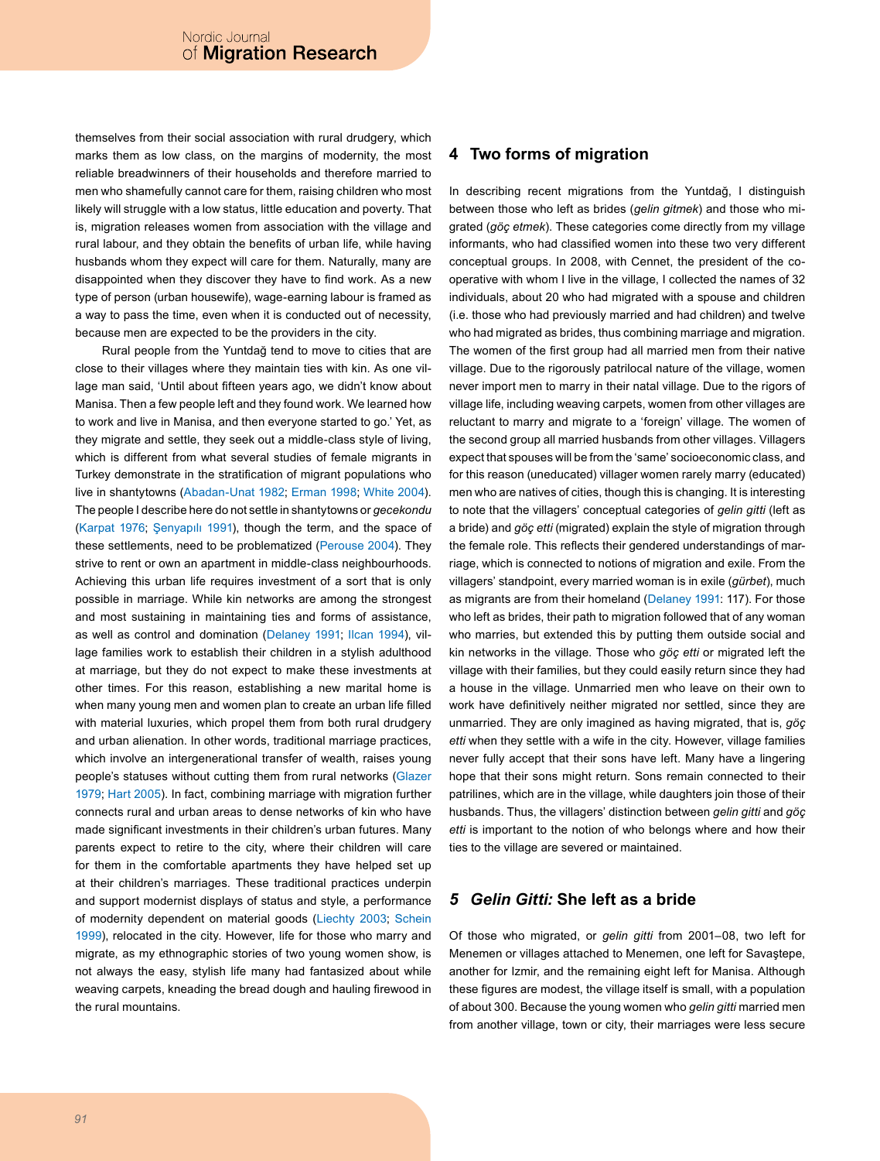themselves from their social association with rural drudgery, which marks them as low class, on the margins of modernity, the most reliable breadwinners of their households and therefore married to men who shamefully cannot care for them, raising children who most likely will struggle with a low status, little education and poverty. That is, migration releases women from association with the village and rural labour, and they obtain the benefits of urban life, while having husbands whom they expect will care for them. Naturally, many are disappointed when they discover they have to find work. As a new type of person (urban housewife), wage-earning labour is framed as a way to pass the time, even when it is conducted out of necessity, because men are expected to be the providers in the city.

Rural people from the Yuntdağ tend to move to cities that are close to their villages where they maintain ties with kin. As one village man said, 'Until about fifteen years ago, we didn't know about Manisa. Then a few people left and they found work. We learned how to work and live in Manisa, and then everyone started to go.' Yet, as they migrate and settle, they seek out a middle-class style of living, which is different from what several studies of female migrants in Turkey demonstrate in the stratification of migrant populations who live in shantytowns [\(Abadan-Unat 1982](#page-6-11); [Erman 1998](#page-6-2); [White 2004](#page-7-22)). The people I describe here do not settle in shantytowns or *gecekondu*  ([Karpat 1976](#page-7-23); [Şenyapılı 1991](#page-7-24)), though the term, and the space of these settlements, need to be problematized [\(Perouse 2004\)](#page-7-25). They strive to rent or own an apartment in middle-class neighbourhoods. Achieving this urban life requires investment of a sort that is only possible in marriage. While kin networks are among the strongest and most sustaining in maintaining ties and forms of assistance, as well as control and domination [\(Delaney 1991](#page-6-4); [Ilcan 1994\)](#page-7-26), village families work to establish their children in a stylish adulthood at marriage, but they do not expect to make these investments at other times. For this reason, establishing a new marital home is when many young men and women plan to create an urban life filled with material luxuries, which propel them from both rural drudgery and urban alienation. In other words, traditional marriage practices, which involve an intergenerational transfer of wealth, raises young people's statuses without cutting them from rural networks [\(Glazer](#page-7-27) [1979](#page-7-27); [Hart 2005\)](#page-7-28). In fact, combining marriage with migration further connects rural and urban areas to dense networks of kin who have made significant investments in their children's urban futures. Many parents expect to retire to the city, where their children will care for them in the comfortable apartments they have helped set up at their children's marriages. These traditional practices underpin and support modernist displays of status and style, a performance of modernity dependent on material goods [\(Liechty 2003](#page-7-29); [Schein](#page-7-30) [1999\)](#page-7-30), relocated in the city. However, life for those who marry and migrate, as my ethnographic stories of two young women show, is not always the easy, stylish life many had fantasized about while weaving carpets, kneading the bread dough and hauling firewood in the rural mountains.

### **4 Two forms of migration**

In describing recent migrations from the Yuntdağ, I distinguish between those who left as brides (*gelin gitmek*) and those who migrated (*göç etmek*). These categories come directly from my village informants, who had classified women into these two very different conceptual groups. In 2008, with Cennet, the president of the cooperative with whom I live in the village, I collected the names of 32 individuals, about 20 who had migrated with a spouse and children (i.e. those who had previously married and had children) and twelve who had migrated as brides, thus combining marriage and migration. The women of the first group had all married men from their native village. Due to the rigorously patrilocal nature of the village, women never import men to marry in their natal village. Due to the rigors of village life, including weaving carpets, women from other villages are reluctant to marry and migrate to a 'foreign' village. The women of the second group all married husbands from other villages. Villagers expect that spouses will be from the 'same' socioeconomic class, and for this reason (uneducated) villager women rarely marry (educated) men who are natives of cities, though this is changing. It is interesting to note that the villagers' conceptual categories of *gelin gitti* (left as a bride) and *göç etti* (migrated) explain the style of migration through the female role. This reflects their gendered understandings of marriage, which is connected to notions of migration and exile. From the villagers' standpoint, every married woman is in exile (*gürbet*), much as migrants are from their homeland [\(Delaney 1991](#page-6-4): 117). For those who left as brides, their path to migration followed that of any woman who marries, but extended this by putting them outside social and kin networks in the village. Those who *göç etti* or migrated left the village with their families, but they could easily return since they had a house in the village. Unmarried men who leave on their own to work have definitively neither migrated nor settled, since they are unmarried. They are only imagined as having migrated, that is, *göç*  etti when they settle with a wife in the city. However, village families never fully accept that their sons have left. Many have a lingering hope that their sons might return. Sons remain connected to their patrilines, which are in the village, while daughters join those of their husbands. Thus, the villagers' distinction between *gelin gitti* and *göç etti* is important to the notion of who belongs where and how their ties to the village are severed or maintained.

## *5 Gelin Gitti:* **She left as a bride**

Of those who migrated, or *gelin gitti* from 2001–08, two left for Menemen or villages attached to Menemen, one left for Savaştepe, another for Izmir, and the remaining eight left for Manisa. Although these figures are modest, the village itself is small, with a population of about 300. Because the young women who *gelin gitti* married men from another village, town or city, their marriages were less secure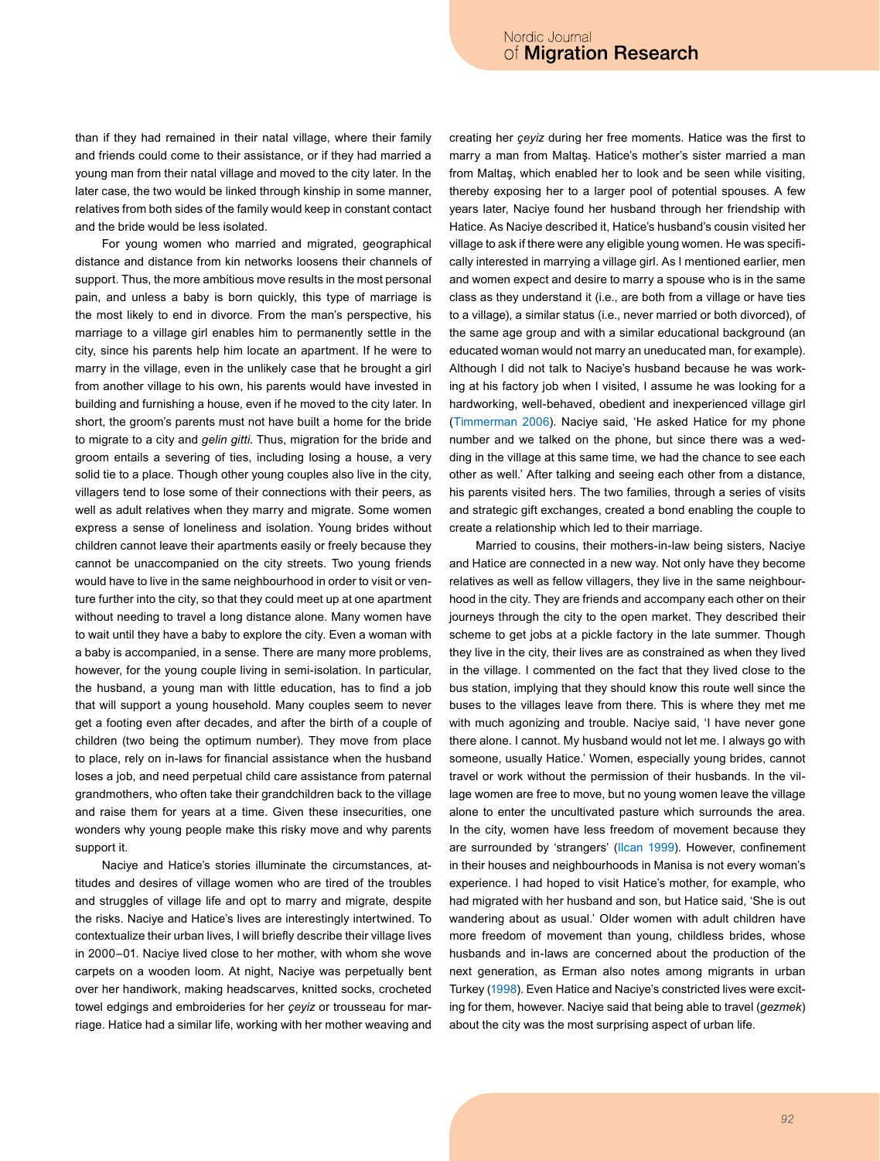than if they had remained in their natal village, where their family and friends could come to their assistance, or if they had married a young man from their natal village and moved to the city later. In the later case, the two would be linked through kinship in some manner, relatives from both sides of the family would keep in constant contact and the bride would be less isolated.

For young women who married and migrated, geographical distance and distance from kin networks loosens their channels of support. Thus, the more ambitious move results in the most personal pain, and unless a baby is born quickly, this type of marriage is the most likely to end in divorce. From the man's perspective, his marriage to a village girl enables him to permanently settle in the city, since his parents help him locate an apartment. If he were to marry in the village, even in the unlikely case that he brought a girl from another village to his own, his parents would have invested in building and furnishing a house, even if he moved to the city later. In short, the groom's parents must not have built a home for the bride to migrate to a city and *gelin gitti*. Thus, migration for the bride and groom entails a severing of ties, including losing a house, a very solid tie to a place. Though other young couples also live in the city, villagers tend to lose some of their connections with their peers, as well as adult relatives when they marry and migrate. Some women express a sense of loneliness and isolation. Young brides without children cannot leave their apartments easily or freely because they cannot be unaccompanied on the city streets. Two young friends would have to live in the same neighbourhood in order to visit or venture further into the city, so that they could meet up at one apartment without needing to travel a long distance alone. Many women have to wait until they have a baby to explore the city. Even a woman with a baby is accompanied, in a sense. There are many more problems, however, for the young couple living in semi-isolation. In particular, the husband, a young man with little education, has to find a job that will support a young household. Many couples seem to never get a footing even after decades, and after the birth of a couple of children (two being the optimum number). They move from place to place, rely on in-laws for financial assistance when the husband loses a job, and need perpetual child care assistance from paternal grandmothers, who often take their grandchildren back to the village and raise them for years at a time. Given these insecurities, one wonders why young people make this risky move and why parents support it.

Naciye and Hatice's stories illuminate the circumstances, attitudes and desires of village women who are tired of the troubles and struggles of village life and opt to marry and migrate, despite the risks. Naciye and Hatice's lives are interestingly intertwined. To contextualize their urban lives, I will briefly describe their village lives in 2000–01. Naciye lived close to her mother, with whom she wove carpets on a wooden loom. At night, Naciye was perpetually bent over her handiwork, making headscarves, knitted socks, crocheted towel edgings and embroideries for her *çeyiz* or trousseau for marriage. Hatice had a similar life, working with her mother weaving and creating her *çeyiz* during her free moments. Hatice was the first to marry a man from Maltaş. Hatice's mother's sister married a man from Maltaş, which enabled her to look and be seen while visiting, thereby exposing her to a larger pool of potential spouses. A few years later, Naciye found her husband through her friendship with Hatice. As Naciye described it, Hatice's husband's cousin visited her village to ask if there were any eligible young women. He was specifically interested in marrying a village girl. As I mentioned earlier, men and women expect and desire to marry a spouse who is in the same class as they understand it (i.e., are both from a village or have ties to a village), a similar status (i.e., never married or both divorced), of the same age group and with a similar educational background (an educated woman would not marry an uneducated man, for example). Although I did not talk to Naciye's husband because he was working at his factory job when I visited, I assume he was looking for a hardworking, well-behaved, obedient and inexperienced village girl ([Timmerman 2006\)](#page-7-5). Naciye said, 'He asked Hatice for my phone number and we talked on the phone, but since there was a wedding in the village at this same time, we had the chance to see each other as well.' After talking and seeing each other from a distance, his parents visited hers. The two families, through a series of visits and strategic gift exchanges, created a bond enabling the couple to create a relationship which led to their marriage.

Married to cousins, their mothers-in-law being sisters, Naciye and Hatice are connected in a new way. Not only have they become relatives as well as fellow villagers, they live in the same neighbourhood in the city. They are friends and accompany each other on their journeys through the city to the open market. They described their scheme to get jobs at a pickle factory in the late summer. Though they live in the city, their lives are as constrained as when they lived in the village. I commented on the fact that they lived close to the bus station, implying that they should know this route well since the buses to the villages leave from there. This is where they met me with much agonizing and trouble. Naciye said, 'I have never gone there alone. I cannot. My husband would not let me. I always go with someone, usually Hatice.' Women, especially young brides, cannot travel or work without the permission of their husbands. In the village women are free to move, but no young women leave the village alone to enter the uncultivated pasture which surrounds the area. In the city, women have less freedom of movement because they are surrounded by 'strangers' [\(Ilcan 1999](#page-7-31)). However, confinement in their houses and neighbourhoods in Manisa is not every woman's experience. I had hoped to visit Hatice's mother, for example, who had migrated with her husband and son, but Hatice said, 'She is out wandering about as usual.' Older women with adult children have more freedom of movement than young, childless brides, whose husbands and in-laws are concerned about the production of the next generation, as Erman also notes among migrants in urban Turkey [\(1998\)](#page-6-2). Even Hatice and Naciye's constricted lives were exciting for them, however. Naciye said that being able to travel (*gezmek*) about the city was the most surprising aspect of urban life.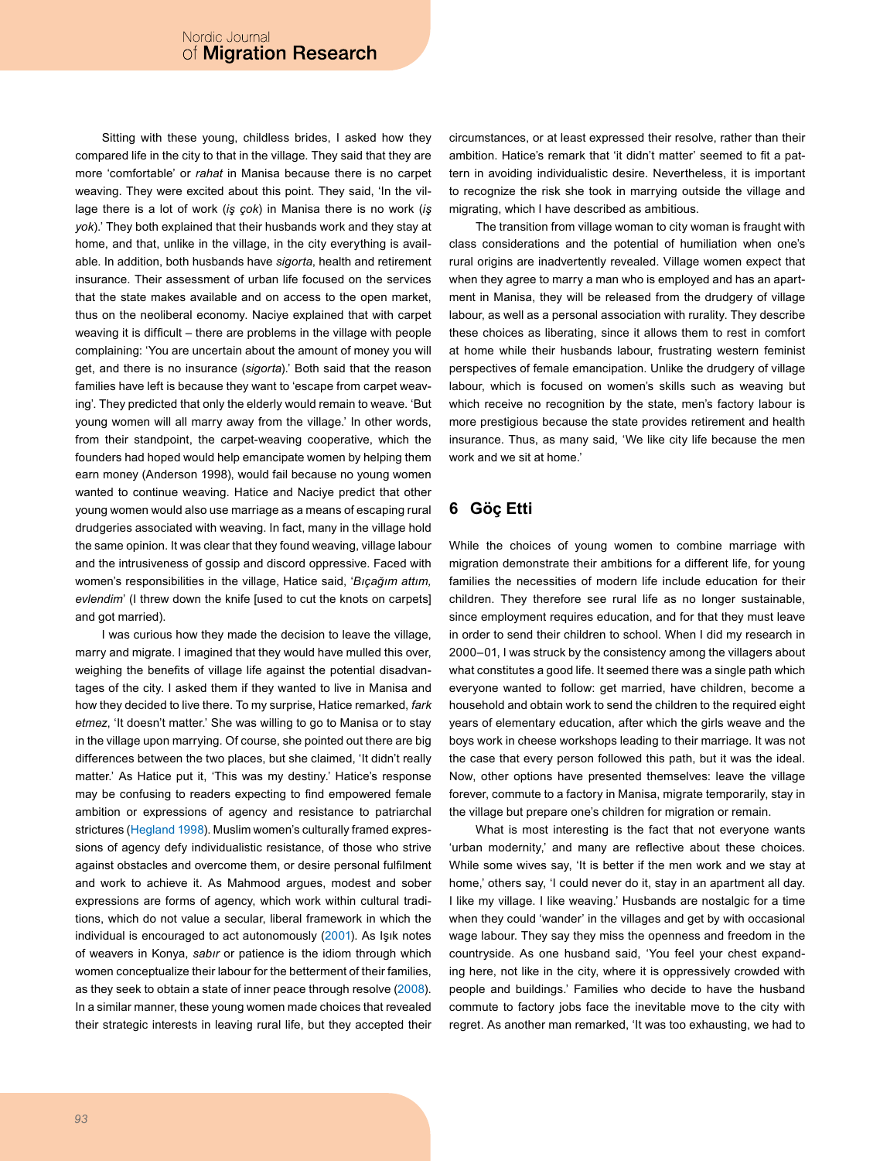Sitting with these young, childless brides, I asked how they compared life in the city to that in the village. They said that they are more 'comfortable' or *rahat* in Manisa because there is no carpet weaving. They were excited about this point. They said, 'In the village there is a lot of work (*iş çok*) in Manisa there is no work (*iş yok*).' They both explained that their husbands work and they stay at home, and that, unlike in the village, in the city everything is available. In addition, both husbands have *sigorta*, health and retirement insurance. Their assessment of urban life focused on the services that the state makes available and on access to the open market, thus on the neoliberal economy. Naciye explained that with carpet weaving it is difficult – there are problems in the village with people complaining: 'You are uncertain about the amount of money you will get, and there is no insurance (*sigorta*).' Both said that the reason families have left is because they want to 'escape from carpet weaving'. They predicted that only the elderly would remain to weave. 'But young women will all marry away from the village.' In other words, from their standpoint, the carpet-weaving cooperative, which the founders had hoped would help emancipate women by helping them earn money (Anderson 1998), would fail because no young women wanted to continue weaving. Hatice and Naciye predict that other young women would also use marriage as a means of escaping rural drudgeries associated with weaving. In fact, many in the village hold the same opinion. It was clear that they found weaving, village labour and the intrusiveness of gossip and discord oppressive. Faced with women's responsibilities in the village, Hatice said, '*Bıçağım attım, evlendim*' (I threw down the knife [used to cut the knots on carpets] and got married).

I was curious how they made the decision to leave the village, marry and migrate. I imagined that they would have mulled this over, weighing the benefits of village life against the potential disadvantages of the city. I asked them if they wanted to live in Manisa and how they decided to live there. To my surprise, Hatice remarked, *fark etmez*, 'It doesn't matter.' She was willing to go to Manisa or to stay in the village upon marrying. Of course, she pointed out there are big differences between the two places, but she claimed, 'It didn't really matter.' As Hatice put it, 'This was my destiny.' Hatice's response may be confusing to readers expecting to find empowered female ambition or expressions of agency and resistance to patriarchal strictures [\(Hegland 1998\)](#page-7-32). Muslim women's culturally framed expressions of agency defy individualistic resistance, of those who strive against obstacles and overcome them, or desire personal fulfilment and work to achieve it. As Mahmood argues, modest and sober expressions are forms of agency, which work within cultural traditions, which do not value a secular, liberal framework in which the individual is encouraged to act autonomously [\(2001](#page-7-20)). As Işık notes of weavers in Konya, *sabır* or patience is the idiom through which women conceptualize their labour for the betterment of their families, as they seek to obtain a state of inner peace through resolve (2008). In a similar manner, these young women made choices that revealed their strategic interests in leaving rural life, but they accepted their

circumstances, or at least expressed their resolve, rather than their ambition. Hatice's remark that 'it didn't matter' seemed to fit a pattern in avoiding individualistic desire. Nevertheless, it is important to recognize the risk she took in marrying outside the village and migrating, which I have described as ambitious.

The transition from village woman to city woman is fraught with class considerations and the potential of humiliation when one's rural origins are inadvertently revealed. Village women expect that when they agree to marry a man who is employed and has an apartment in Manisa, they will be released from the drudgery of village labour, as well as a personal association with rurality. They describe these choices as liberating, since it allows them to rest in comfort at home while their husbands labour, frustrating western feminist perspectives of female emancipation. Unlike the drudgery of village labour, which is focused on women's skills such as weaving but which receive no recognition by the state, men's factory labour is more prestigious because the state provides retirement and health insurance. Thus, as many said, 'We like city life because the men work and we sit at home.'

### **6 Göç Etti**

While the choices of young women to combine marriage with migration demonstrate their ambitions for a different life, for young families the necessities of modern life include education for their children. They therefore see rural life as no longer sustainable, since employment requires education, and for that they must leave in order to send their children to school. When I did my research in 2000–01, I was struck by the consistency among the villagers about what constitutes a good life. It seemed there was a single path which everyone wanted to follow: get married, have children, become a household and obtain work to send the children to the required eight years of elementary education, after which the girls weave and the boys work in cheese workshops leading to their marriage. It was not the case that every person followed this path, but it was the ideal. Now, other options have presented themselves: leave the village forever, commute to a factory in Manisa, migrate temporarily, stay in the village but prepare one's children for migration or remain.

What is most interesting is the fact that not everyone wants 'urban modernity,' and many are reflective about these choices. While some wives say, 'It is better if the men work and we stay at home,' others say, 'I could never do it, stay in an apartment all day. I like my village. I like weaving.' Husbands are nostalgic for a time when they could 'wander' in the villages and get by with occasional wage labour. They say they miss the openness and freedom in the countryside. As one husband said, 'You feel your chest expanding here, not like in the city, where it is oppressively crowded with people and buildings.' Families who decide to have the husband commute to factory jobs face the inevitable move to the city with regret. As another man remarked, 'It was too exhausting, we had to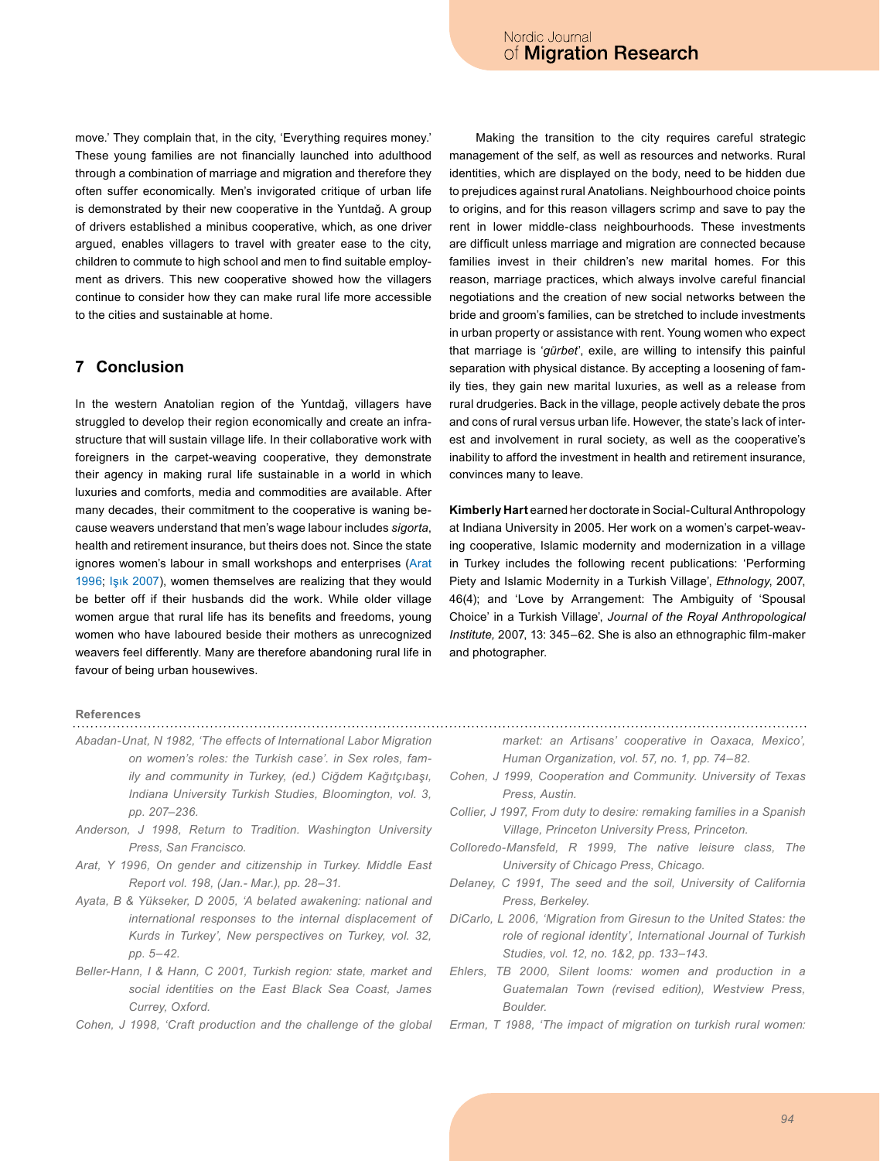move.' They complain that, in the city, 'Everything requires money.' These young families are not financially launched into adulthood through a combination of marriage and migration and therefore they often suffer economically. Men's invigorated critique of urban life is demonstrated by their new cooperative in the Yuntdağ. A group of drivers established a minibus cooperative, which, as one driver argued, enables villagers to travel with greater ease to the city, children to commute to high school and men to find suitable employment as drivers. This new cooperative showed how the villagers continue to consider how they can make rural life more accessible to the cities and sustainable at home.

### **7 Conclusion**

In the western Anatolian region of the Yuntdağ, villagers have struggled to develop their region economically and create an infrastructure that will sustain village life. In their collaborative work with foreigners in the carpet-weaving cooperative, they demonstrate their agency in making rural life sustainable in a world in which luxuries and comforts, media and commodities are available. After many decades, their commitment to the cooperative is waning because weavers understand that men's wage labour includes *sigorta*, health and retirement insurance, but theirs does not. Since the state ignores women's labour in small workshops and enterprises ([Arat](#page-6-9) [1996](#page-6-9); Işık 2007), women themselves are realizing that they would be better off if their husbands did the work. While older village women argue that rural life has its benefits and freedoms, young women who have laboured beside their mothers as unrecognized weavers feel differently. Many are therefore abandoning rural life in favour of being urban housewives.

Making the transition to the city requires careful strategic management of the self, as well as resources and networks. Rural identities, which are displayed on the body, need to be hidden due to prejudices against rural Anatolians. Neighbourhood choice points to origins, and for this reason villagers scrimp and save to pay the rent in lower middle-class neighbourhoods. These investments are difficult unless marriage and migration are connected because families invest in their children's new marital homes. For this reason, marriage practices, which always involve careful financial negotiations and the creation of new social networks between the bride and groom's families, can be stretched to include investments in urban property or assistance with rent. Young women who expect that marriage is '*gürbet*', exile, are willing to intensify this painful separation with physical distance. By accepting a loosening of family ties, they gain new marital luxuries, as well as a release from rural drudgeries. Back in the village, people actively debate the pros and cons of rural versus urban life. However, the state's lack of interest and involvement in rural society, as well as the cooperative's inability to afford the investment in health and retirement insurance, convinces many to leave.

**Kimberly Hart** earned her doctorate in Social-Cultural Anthropology at Indiana University in 2005. Her work on a women's carpet-weaving cooperative, Islamic modernity and modernization in a village in Turkey includes the following recent publications: 'Performing Piety and Islamic Modernity in a Turkish Village', *Ethnology*, 2007, 46(4); and 'Love by Arrangement: The Ambiguity of 'Spousal Choice' in a Turkish Village', *Journal of the Royal Anthropological Institute,* 2007, 13: 345–62. She is also an ethnographic film-maker and photographer.

#### **References**

- <span id="page-6-11"></span>*Abadan-Unat, N 1982, 'The effects of International Labor Migration on women's roles: the Turkish case'. in Sex roles, fam-*
- *ily and community in Turkey, (ed.) Ciğdem Kağıtçıbaşı, Indiana University Turkish Studies, Bloomington, vol. 3, pp. 207–236.*
- *Anderson, J 1998, Return to Tradition. Washington University Press, San Francisco.*
- <span id="page-6-9"></span>*Arat, Y 1996, On gender and citizenship in Turkey. Middle East Report vol. 198, (Jan.- Mar.), pp. 28–31.*
- <span id="page-6-0"></span>*Ayata, B & Yükseker, D 2005, 'A belated awakening: national and international responses to the internal displacement of Kurds in Turkey', New perspectives on Turkey, vol. 32, pp. 5–42.*
- <span id="page-6-3"></span>*Beller-Hann, I & Hann, C 2001, Turkish region: state, market and social identities on the East Black Sea Coast, James Currey, Oxford.*
- <span id="page-6-7"></span>*Cohen, J 1998, 'Craft production and the challenge of the global*

*market: an Artisans' cooperative in Oaxaca, Mexico', Human Organization, vol. 57, no. 1, pp. 74–82.*

- <span id="page-6-6"></span>*Cohen, J 1999, Cooperation and Community. University of Texas Press, Austin.*
- <span id="page-6-10"></span>*Collier, J 1997, From duty to desire: remaking families in a Spanish Village, Princeton University Press, Princeton.*
- <span id="page-6-5"></span>*Colloredo-Mansfeld, R 1999, The native leisure class, The University of Chicago Press, Chicago.*
- <span id="page-6-4"></span>*Delaney, C 1991, The seed and the soil, University of California Press, Berkeley.*
- <span id="page-6-1"></span>*DiCarlo, L 2006, 'Migration from Giresun to the United States: the role of regional identity', International Journal of Turkish Studies, vol. 12, no. 1&2, pp. 133–143.*
- <span id="page-6-8"></span>*Ehlers, TB 2000, Silent looms: women and production in a Guatemalan Town (revised edition), Westview Press, Boulder.*
- <span id="page-6-2"></span>*Erman, T 1988, 'The impact of migration on turkish rural women:*